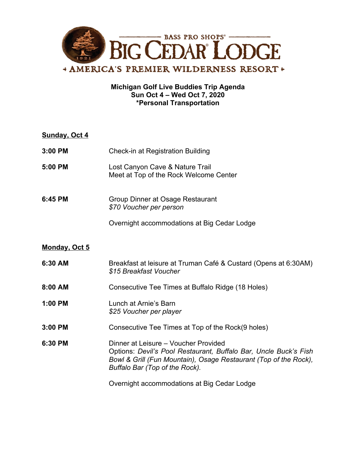

## **Michigan Golf Live Buddies Trip Agenda Sun Oct 4 – Wed Oct 7, 2020 \*Personal Transportation**

| Sunday, Oct 4        |                                                                                                                                                                                                                |
|----------------------|----------------------------------------------------------------------------------------------------------------------------------------------------------------------------------------------------------------|
| 3:00 PM              | <b>Check-in at Registration Building</b>                                                                                                                                                                       |
| 5:00 PM              | Lost Canyon Cave & Nature Trail<br>Meet at Top of the Rock Welcome Center                                                                                                                                      |
| 6:45 PM              | <b>Group Dinner at Osage Restaurant</b><br>\$70 Voucher per person                                                                                                                                             |
|                      | Overnight accommodations at Big Cedar Lodge                                                                                                                                                                    |
| <u>Monday, Oct 5</u> |                                                                                                                                                                                                                |
| 6:30 AM              | Breakfast at leisure at Truman Café & Custard (Opens at 6:30AM)<br>\$15 Breakfast Voucher                                                                                                                      |
| 8:00 AM              | Consecutive Tee Times at Buffalo Ridge (18 Holes)                                                                                                                                                              |
| 1:00 PM              | Lunch at Arnie's Barn<br>\$25 Voucher per player                                                                                                                                                               |
| 3:00 PM              | Consecutive Tee Times at Top of the Rock(9 holes)                                                                                                                                                              |
| 6:30 PM              | Dinner at Leisure - Voucher Provided<br>Options: Devil's Pool Restaurant, Buffalo Bar, Uncle Buck's Fish<br>Bowl & Grill (Fun Mountain), Osage Restaurant (Top of the Rock),<br>Buffalo Bar (Top of the Rock). |
|                      | Quernight accommodations at Rig Cedar Lodge                                                                                                                                                                    |

Overnight accommodations at Big Cedar Lodge